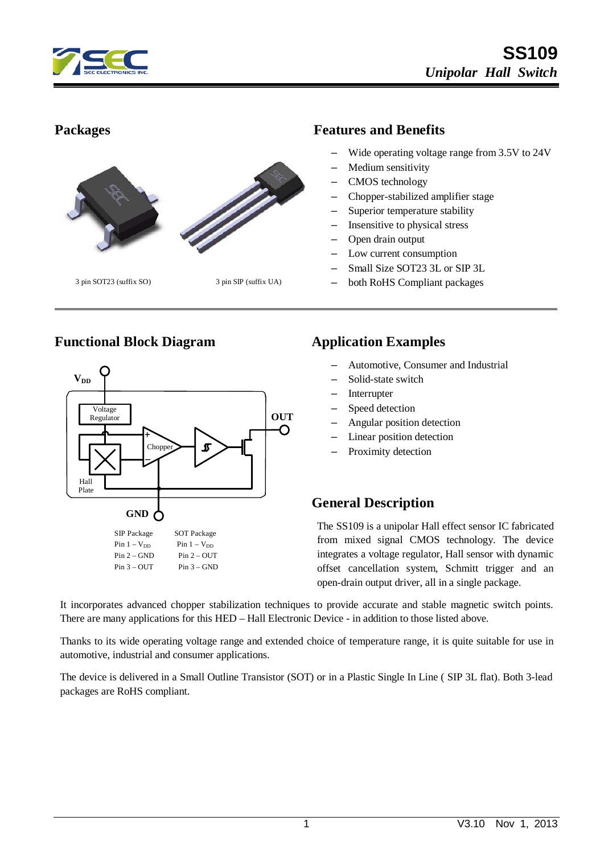



### **Functional Block Diagram Application Examples**



#### **Packages Features and Benefits**

- Wide operating voltage range from 3.5V to 24V
- Medium sensitivity
- CMOS technology
- Chopper-stabilized amplifier stage
- Superior temperature stability
- Insensitive to physical stress
- Open drain output
- Low current consumption
- Small Size SOT23 3L or SIP 3L
- both RoHS Compliant packages

- Automotive, Consumer and Industrial
- Solid-state switch
- **Interrupter**
- Speed detection
- Angular position detection
- Linear position detection
- Proximity detection

## **General Description**

The SS109 is a unipolar Hall effect sensor IC fabricated from mixed signal CMOS technology. The device integrates a voltage regulator, Hall sensor with dynamic offset cancellation system, Schmitt trigger and an open-drain output driver, all in a single package.

It incorporates advanced chopper stabilization techniques to provide accurate and stable magnetic switch points. There are many applications for this HED – Hall Electronic Device - in addition to those listed above.

Thanks to its wide operating voltage range and extended choice of temperature range, it is quite suitable for use in automotive, industrial and consumer applications.

The device is delivered in a Small Outline Transistor (SOT) or in a Plastic Single In Line ( SIP 3L flat). Both 3-lead packages are RoHS compliant.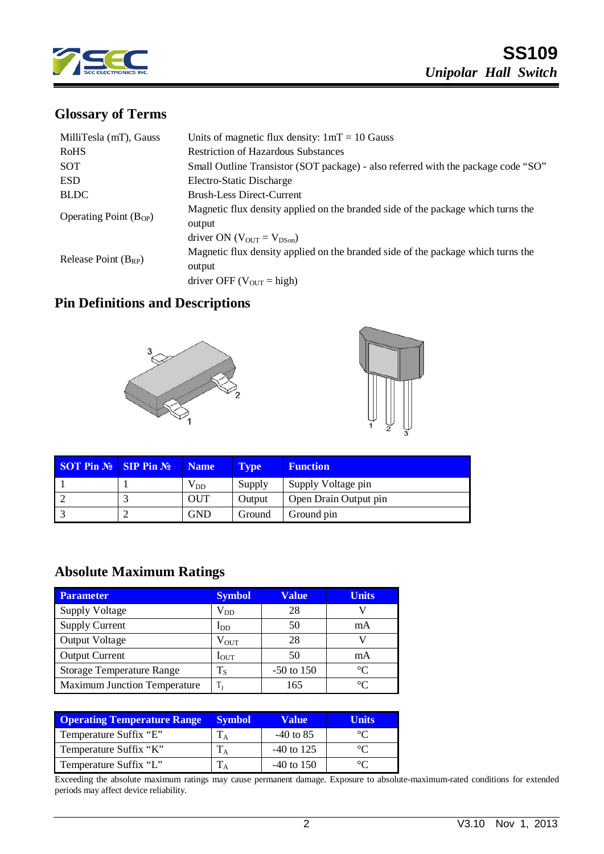

# **Glossary of Terms**

| MilliTesla (mT), Gauss     | Units of magnetic flux density: $1mT = 10$ Gauss                                  |  |  |  |
|----------------------------|-----------------------------------------------------------------------------------|--|--|--|
| RoHS                       | <b>Restriction of Hazardous Substances</b>                                        |  |  |  |
| SOT                        | Small Outline Transistor (SOT package) - also referred with the package code "SO" |  |  |  |
| <b>ESD</b>                 | Electro-Static Discharge                                                          |  |  |  |
| <b>BLDC</b>                | <b>Brush-Less Direct-Current</b>                                                  |  |  |  |
| Operating Point $(B_{OP})$ | Magnetic flux density applied on the branded side of the package which turns the  |  |  |  |
|                            | output                                                                            |  |  |  |
|                            | driver ON ( $V_{\text{OUT}} = V_{\text{DSon}}$ )                                  |  |  |  |
|                            | Magnetic flux density applied on the branded side of the package which turns the  |  |  |  |
| Release Point $(B_{RP})$   | output                                                                            |  |  |  |
|                            | driver OFF ( $V_{\text{OUT}}$ = high)                                             |  |  |  |

## **Pin Definitions and Descriptions**





| <b>SOT Pin <math>N_2</math> SIP Pin <math>N_2</math></b> | <b>Name</b>  | <b>Type</b> | <b>Function</b>       |
|----------------------------------------------------------|--------------|-------------|-----------------------|
|                                                          | $\rm V_{DD}$ | Supply      | Supply Voltage pin    |
|                                                          | <b>OUT</b>   | Output      | Open Drain Output pin |
|                                                          | <b>GND</b>   | Ground      | Ground pin            |

# **Absolute Maximum Ratings**

| <b>Parameter</b>                    | <b>Symbol</b>    | <b>Value</b>   | <b>Units</b> |
|-------------------------------------|------------------|----------------|--------------|
| <b>Supply Voltage</b>               | $\rm V_{DD}$     | 28             |              |
| <b>Supply Current</b>               | $I_{DD}$         | 50             | mA           |
| Output Voltage                      | $\rm V_{OUT}$    | 28             |              |
| <b>Output Current</b>               | $I_{\text{OUT}}$ | 50             | mA           |
| <b>Storage Temperature Range</b>    | $T_{\rm S}$      | $-50$ to $150$ | $\Gamma$     |
| <b>Maximum Junction Temperature</b> | $T_{\rm I}$      | 165            | $\Gamma$     |

| <b>Operating Temperature Range</b> | <b>Symbol</b> | Value'       | Units |
|------------------------------------|---------------|--------------|-------|
| Temperature Suffix "E"             |               | $-40$ to 85  |       |
| Temperature Suffix "K"             |               | $-40$ to 125 |       |
| Temperature Suffix "L"             |               | $-40$ to 150 |       |

Exceeding the absolute maximum ratings may cause permanent damage. Exposure to absolute-maximum-rated conditions for extended periods may affect device reliability.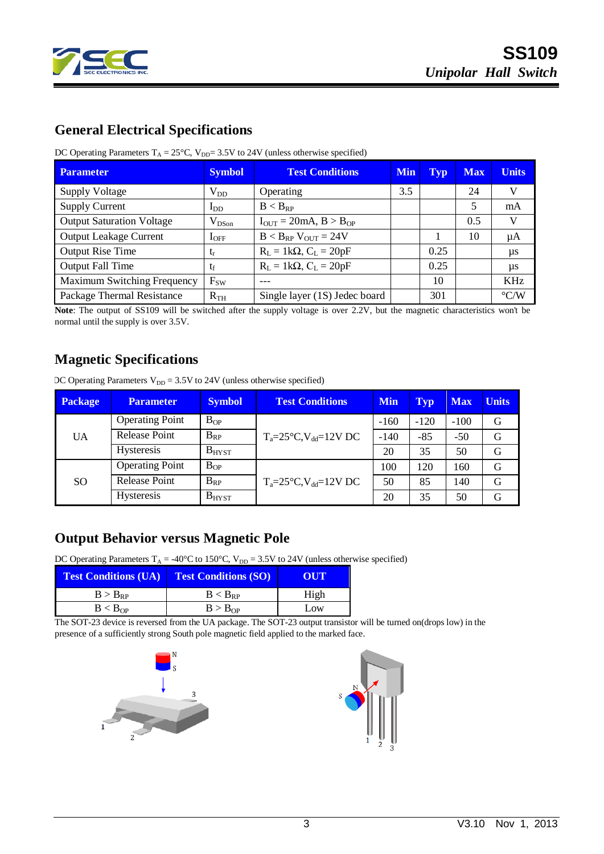

## **General Electrical Specifications**

| DC Operating Parameters $T_A = 25^{\circ}C$ , $V_{DD} = 3.5V$ to 24V (unless otherwise specified) |  |
|---------------------------------------------------------------------------------------------------|--|
|---------------------------------------------------------------------------------------------------|--|

| <b>Parameter</b>                 | <b>Symbol</b> | <b>Test Conditions</b><br><b>Min</b> |     | Typ  | <b>Max</b> | <b>Units</b>       |
|----------------------------------|---------------|--------------------------------------|-----|------|------------|--------------------|
| <b>Supply Voltage</b>            | $\rm V_{DD}$  | Operating                            | 3.5 |      | 24         | V                  |
| <b>Supply Current</b>            | $I_{DD}$      | $B < B_{RP}$                         |     |      | 5          | mA                 |
| <b>Output Saturation Voltage</b> | $V_{DSon}$    | $I_{OUT} = 20mA, B > B_{OP}$         |     |      | 0.5        | V                  |
| <b>Output Leakage Current</b>    | $I_{OFF}$     | $B < B_{RP}$ V <sub>OUT</sub> = 24V  |     |      | 10         | μA                 |
| <b>Output Rise Time</b>          | $t_r$         | $R_L = 1k\Omega$ , $C_L = 20pF$      |     | 0.25 |            | $\mu s$            |
| <b>Output Fall Time</b>          | $t_f$         | $R_L = 1k\Omega$ , $C_L = 20pF$      |     | 0.25 |            | $\mu s$            |
| Maximum Switching Frequency      | $F_{SW}$      |                                      |     | 10   |            | KHz                |
| Package Thermal Resistance       | $R_{TH}$      | Single layer (1S) Jedec board        |     | 301  |            | $\rm ^{\circ}$ C/W |

**Note**: The output of SS109 will be switched after the supply voltage is over 2.2V, but the magnetic characteristics won't be normal until the supply is over 3.5V.

## **Magnetic Specifications**

|  |  | DC Operating Parameters $V_{DD} = 3.5V$ to 24V (unless otherwise specified) |
|--|--|-----------------------------------------------------------------------------|
|--|--|-----------------------------------------------------------------------------|

| Package         | <b>Parameter</b>       | <b>Symbol</b> | <b>Test Conditions</b>                  | <b>Min</b> | <b>Typ</b> | <b>Max</b> | <b>Units</b> |
|-----------------|------------------------|---------------|-----------------------------------------|------------|------------|------------|--------------|
|                 | <b>Operating Point</b> | $B_{OP}$      |                                         | $-160$     | $-120$     | $-100$     | G            |
| UA              | Release Point          | $B_{RP}$      | $T_a = 25^\circ C$ , $V_{dd} = 12V$ DC  | $-140$     | $-85$      | $-50$      | G            |
|                 | <b>Hysteresis</b>      | $B_{H YST}$   |                                         | 20         | 35         | 50         | G            |
|                 | <b>Operating Point</b> | $B_{OP}$      | 100                                     | 120        | 160        | G          |              |
| SO <sub>1</sub> | Release Point          | $B_{RP}$      | $T_a = 25^{\circ}C$ , $V_{dd} = 12V$ DC | 50         | 85         | 140        | G            |
|                 | <b>Hysteresis</b>      | <b>BHYST</b>  |                                         | 20         | 35         | 50         | G            |

# **Output Behavior versus Magnetic Pole**

DC Operating Parameters  $T_A = -40^{\circ}C$  to 150°C,  $V_{DD} = 3.5V$  to 24V (unless otherwise specified)

| <b>Test Conditions (UA)</b> | <b>Test Conditions (SO)</b> | OUT  |
|-----------------------------|-----------------------------|------|
| $B > B_{RP}$                | $B < B_{RP}$                | High |
| B < B <sub>OP</sub>         | B > B <sub>OP</sub>         | Low  |

The SOT-23 device is reversed from the UA package. The SOT-23 output transistor will be turned on(drops low) in the presence of a sufficiently strong South pole magnetic field applied to the marked face.



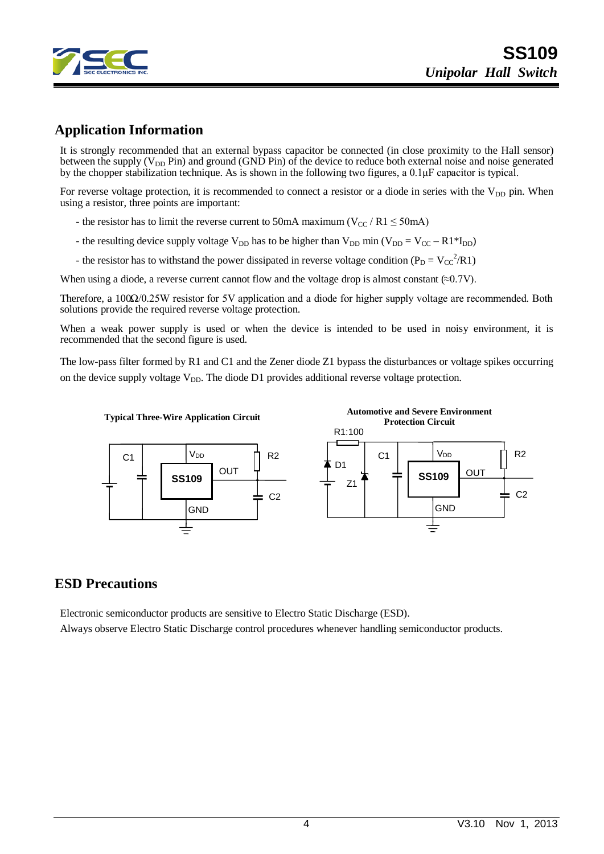

### **Application Information**

It is strongly recommended that an external bypass capacitor be connected (in close proximity to the Hall sensor) between the supply ( $V_{DD}$  Pin) and ground (GND Pin) of the device to reduce both external noise and noise generated by the chopper stabilization technique. As is shown in the following two figures, a 0.1μF capacitor is typical.

For reverse voltage protection, it is recommended to connect a resistor or a diode in series with the  $V_{DD}$  pin. When using a resistor, three points are important:

- the resistor has to limit the reverse current to 50mA maximum ( $V_{CC}$  / R1  $\leq$  50mA)
- the resulting device supply voltage  $V_{DD}$  has to be higher than  $V_{DD}$  min ( $V_{DD} = V_{CC} R1*I_{DD}$ )
- the resistor has to withstand the power dissipated in reverse voltage condition ( $P_D = V_{CC}^2 / R1$ )

When using a diode, a reverse current cannot flow and the voltage drop is almost constant  $(\approx 0.7V)$ .

Therefore, a 100Ω/0.25W resistor for 5V application and a diode for higher supply voltage are recommended. Both solutions provide the required reverse voltage protection.

When a weak power supply is used or when the device is intended to be used in noisy environment, it is recommended that the second figure is used.

The low-pass filter formed by R1 and C1 and the Zener diode Z1 bypass the disturbances or voltage spikes occurring on the device supply voltage  $V_{DD}$ . The diode D1 provides additional reverse voltage protection.



#### **ESD Precautions**

Electronic semiconductor products are sensitive to Electro Static Discharge (ESD). Always observe Electro Static Discharge control procedures whenever handling semiconductor products.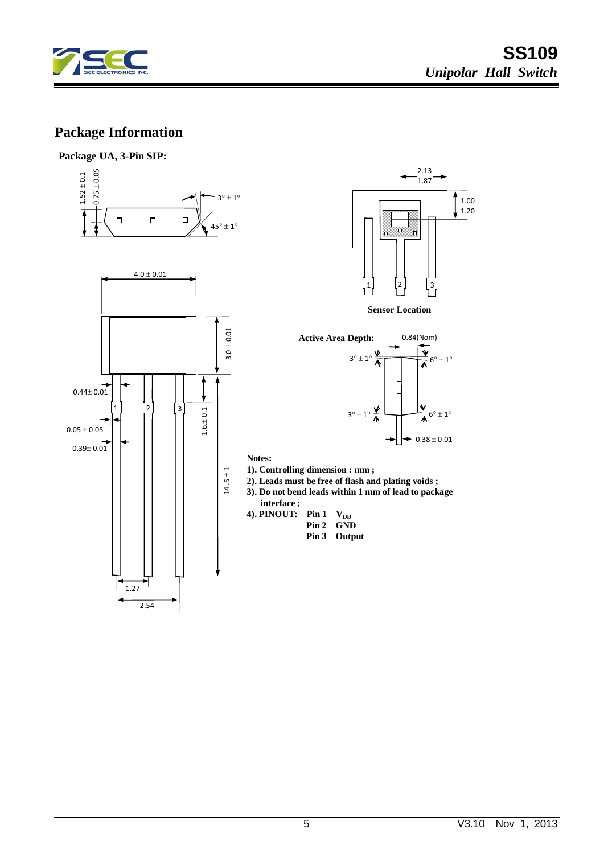

# **Package Information**